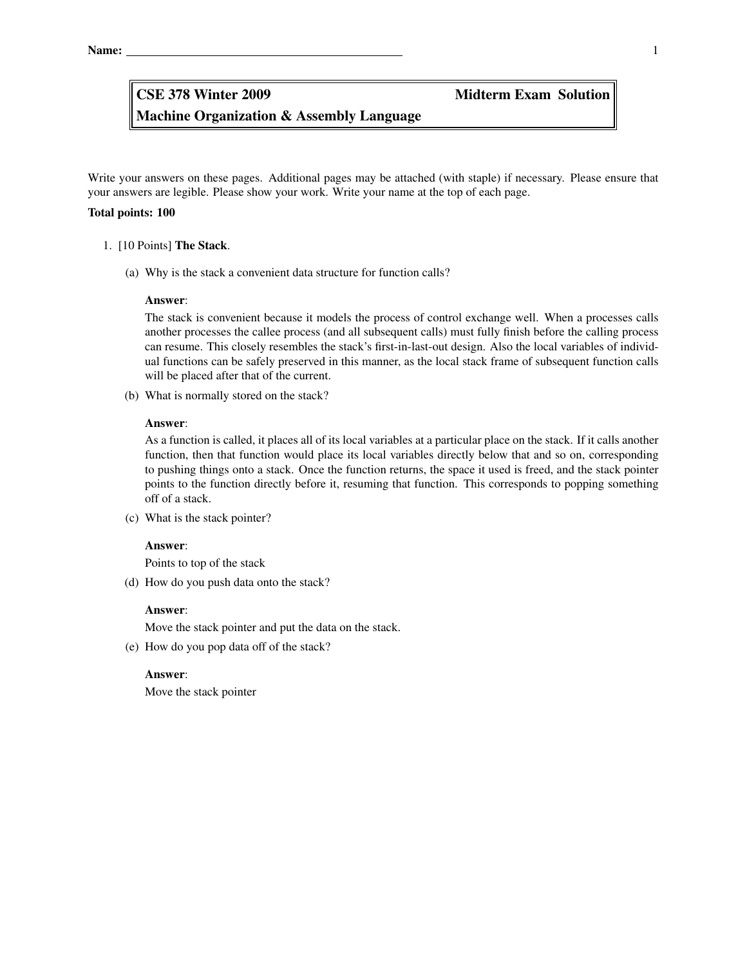Machine Organization & Assembly Language CSE 378 Winter 2009 Midterm Exam Solution

Write your answers on these pages. Additional pages may be attached (with staple) if necessary. Please ensure that your answers are legible. Please show your work. Write your name at the top of each page.

### Total points: 100

### 1. [10 Points] The Stack.

(a) Why is the stack a convenient data structure for function calls?

### Answer:

The stack is convenient because it models the process of control exchange well. When a processes calls another processes the callee process (and all subsequent calls) must fully finish before the calling process can resume. This closely resembles the stack's first-in-last-out design. Also the local variables of individual functions can be safely preserved in this manner, as the local stack frame of subsequent function calls will be placed after that of the current.

(b) What is normally stored on the stack?

## Answer:

As a function is called, it places all of its local variables at a particular place on the stack. If it calls another function, then that function would place its local variables directly below that and so on, corresponding to pushing things onto a stack. Once the function returns, the space it used is freed, and the stack pointer points to the function directly before it, resuming that function. This corresponds to popping something off of a stack.

(c) What is the stack pointer?

### Answer:

Points to top of the stack

(d) How do you push data onto the stack?

### Answer:

Move the stack pointer and put the data on the stack.

(e) How do you pop data off of the stack?

### Answer:

Move the stack pointer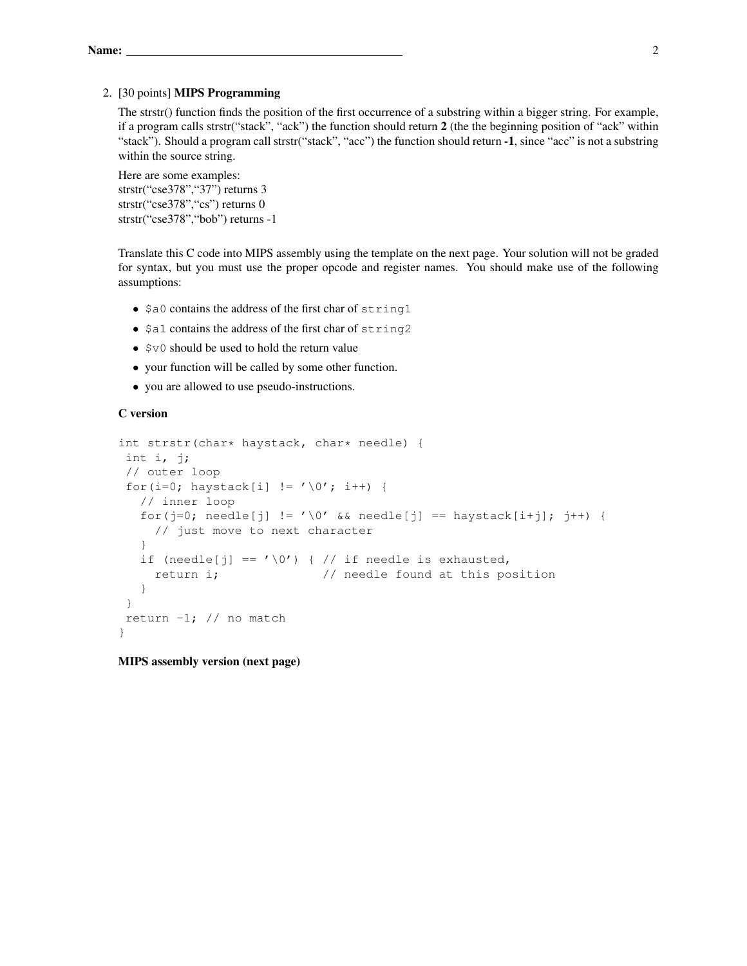## 2. [30 points] MIPS Programming

The strstr() function finds the position of the first occurrence of a substring within a bigger string. For example, if a program calls strstr("stack", "ack") the function should return 2 (the the beginning position of "ack" within "stack"). Should a program call strstr("stack", "acc") the function should return -1, since "acc" is not a substring within the source string.

Here are some examples: strstr("cse378","37") returns 3 strstr("cse378","cs") returns 0 strstr("cse378","bob") returns -1

Translate this C code into MIPS assembly using the template on the next page. Your solution will not be graded for syntax, but you must use the proper opcode and register names. You should make use of the following assumptions:

- \$a0 contains the address of the first char of string1
- \$a1 contains the address of the first char of string2
- $$v0$  should be used to hold the return value
- your function will be called by some other function.
- you are allowed to use pseudo-instructions.

## C version

```
int strstr(char* haystack, char* needle) {
 int i, j;
 // outer loop
 for(i=0; haystack[i] != ' \0; i++) {
   // inner loop
   for(j=0; needle[j] != '\0' && needle[j] == haystack[i+j]; j++) {
     // just move to next character
   }
   if (needle[j] == ' \setminus 0') { // if needle is exhausted,
     return i; \frac{1}{1} // needle found at this position
   }
 }
 return -1; // no match
}
```
MIPS assembly version (next page)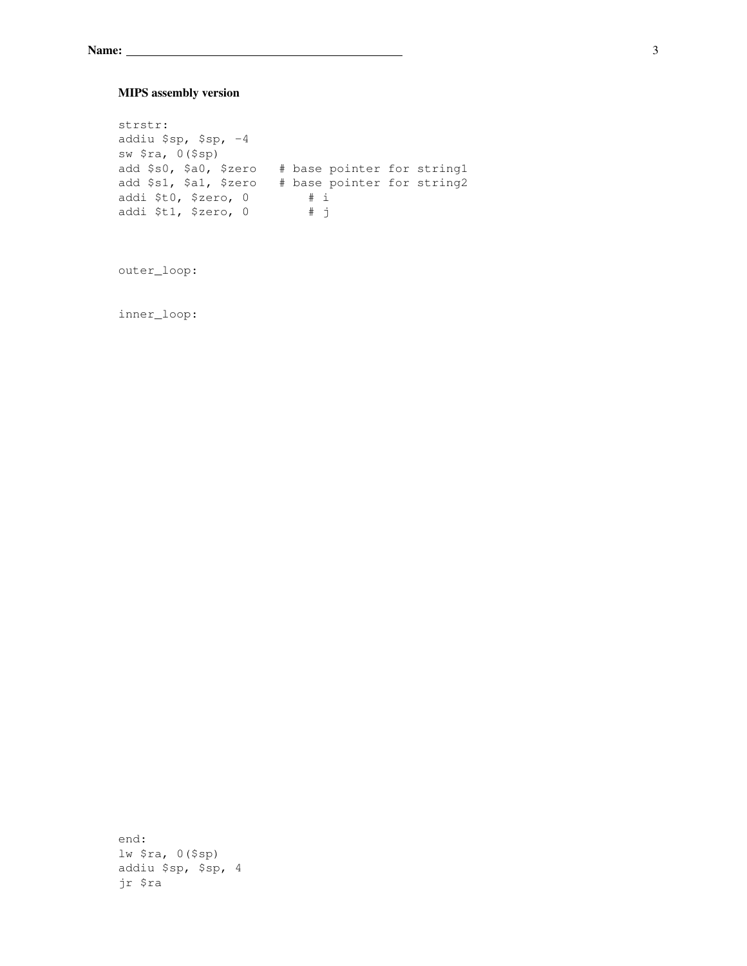# MIPS assembly version

strstr: addiu \$sp, \$sp, -4 sw \$ra, 0(\$sp) add \$s0, \$a0, \$zero # base pointer for string1 add \$s1, \$a1, \$zero # base pointer for string2 addi \$t0, \$zero, 0 # i addi \$t1, \$zero, 0 # j

outer\_loop:

inner\_loop:

end: lw \$ra, 0(\$sp) addiu \$sp, \$sp, 4 jr \$ra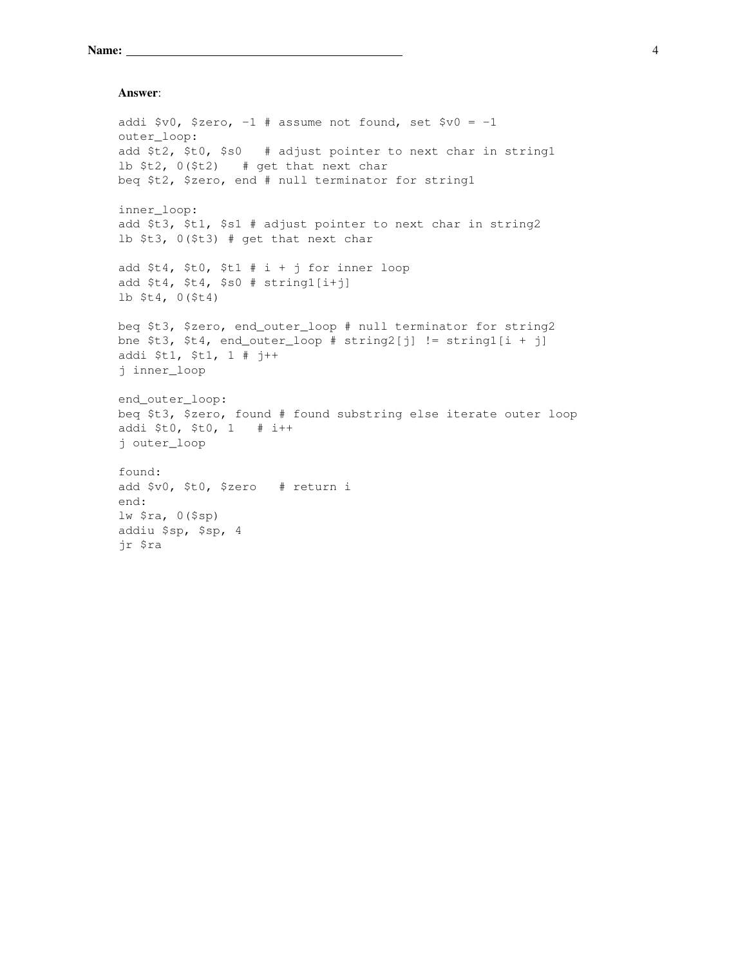```
Name: 4
```
### Answer:

```
addi $v0, $zero, -1 # assume not found, set $v0 = -1outer_loop:
add $t2, $t0, $s0 # adjust pointer to next char in string1
lb $t2, 0($t2) # get that next char
beq $t2, $zero, end # null terminator for string1
inner_loop:
add $t3, $t1, $s1 # adjust pointer to next char in string2
lb $t3, 0($t3) # get that next char
add $t4, $t0, $t1 # i + j for inner loop
add $t4, $t4, $s0 # string1[i+j]
lb $t4, 0($t4)
beq $t3, $zero, end_outer_loop # null terminator for string2
bne $t3, $t4, end_outer_loop # string2[j] != string1[i + j]
addi $t1, $t1, 1 # j++
j inner_loop
end outer loop:
beq $t3, $zero, found # found substring else iterate outer loop
addi $t0, $t0, 1 # i++
j outer_loop
found:
add $v0, $t0, $zero # return i
end:
lw $ra, 0($sp)
addiu $sp, $sp, 4
jr $ra
```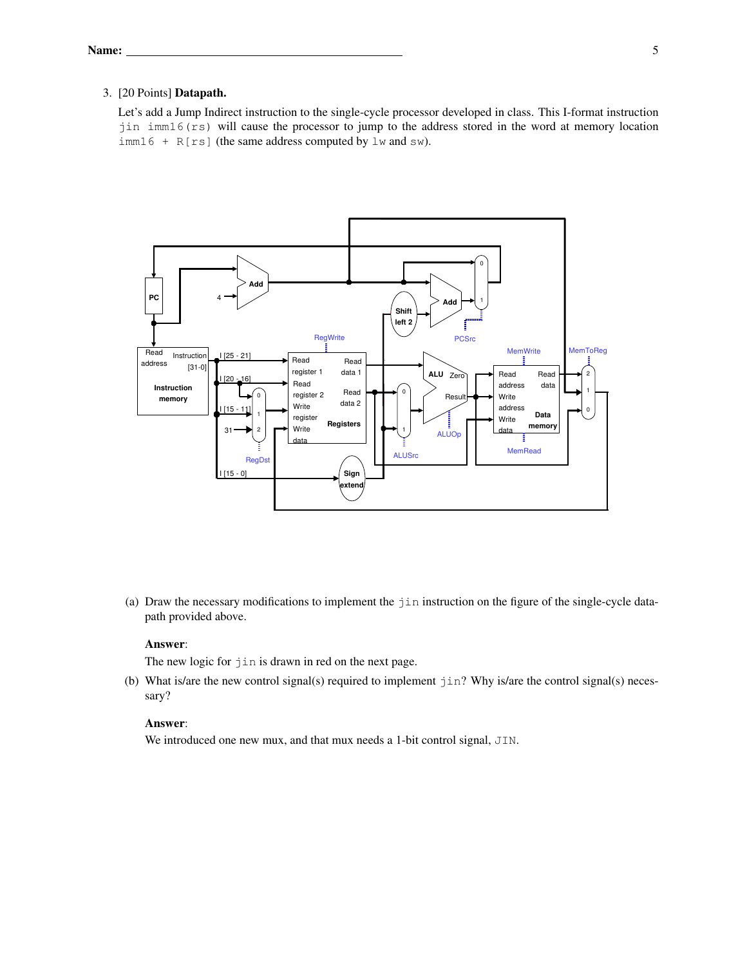## 3. [20 Points] Datapath.

Let's add a Jump Indirect instruction to the single-cycle processor developed in class. This I-format instruction jin imm16(rs) will cause the processor to jump to the address stored in the word at memory location  $imm16$  + R[rs] (the same address computed by lw and sw).



(a) Draw the necessary modifications to implement the jin instruction on the figure of the single-cycle datapath provided above.

# Answer:

The new logic for  $\exists$  in is drawn in red on the next page.

(b) What is/are the new control signal(s) required to implement jin? Why is/are the control signal(s) necessary?

## Answer:

We introduced one new mux, and that mux needs a 1-bit control signal, JIN.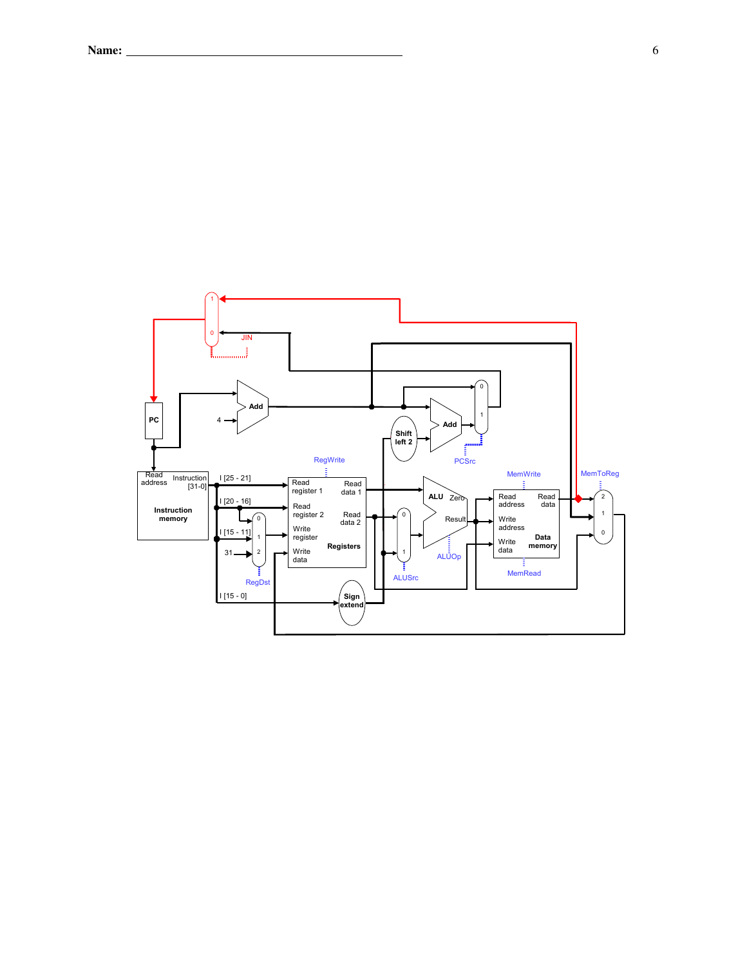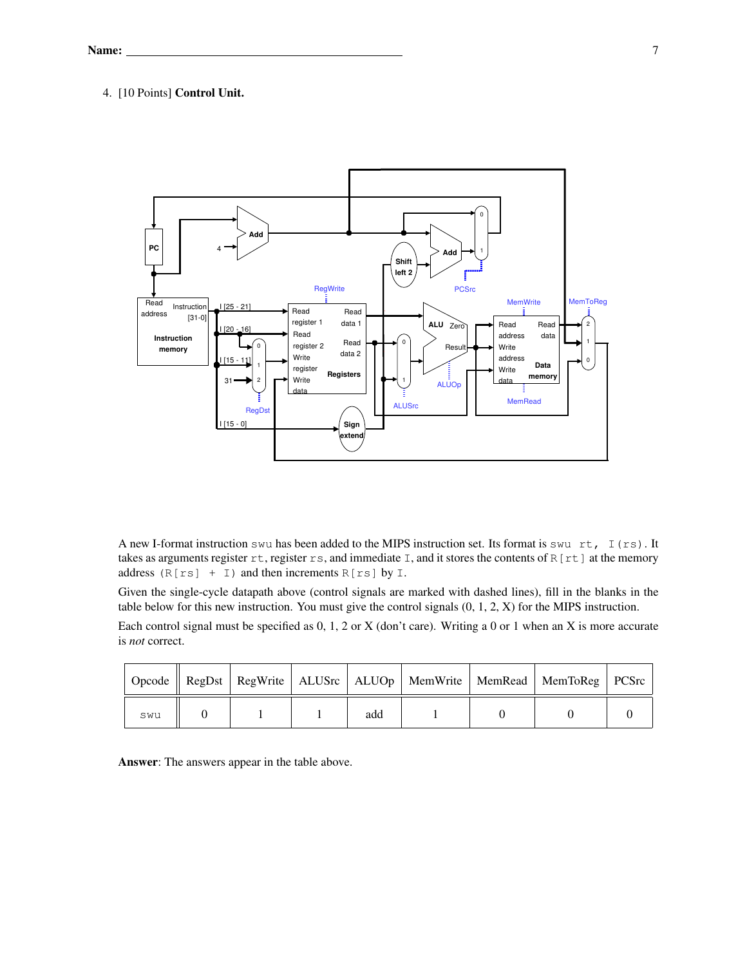# 4. [10 Points] Control Unit.



A new I-format instruction swu has been added to the MIPS instruction set. Its format is swu rt, I (rs). It takes as arguments register  $rt$ , register  $rs$ , and immediate I, and it stores the contents of R[rt] at the memory address  $(R[rs] + I)$  and then increments  $R[rs]$  by I.

Given the single-cycle datapath above (control signals are marked with dashed lines), fill in the blanks in the table below for this new instruction. You must give the control signals (0, 1, 2, X) for the MIPS instruction.

Each control signal must be specified as 0, 1, 2 or X (don't care). Writing a 0 or 1 when an X is more accurate is *not* correct.

|     |  |     |  | Opcode    RegDst   RegWrite   ALUSrc   ALUOp   MemWrite   MemRead   MemToReg   PCSrc |  |
|-----|--|-----|--|--------------------------------------------------------------------------------------|--|
| swu |  | add |  |                                                                                      |  |

Answer: The answers appear in the table above.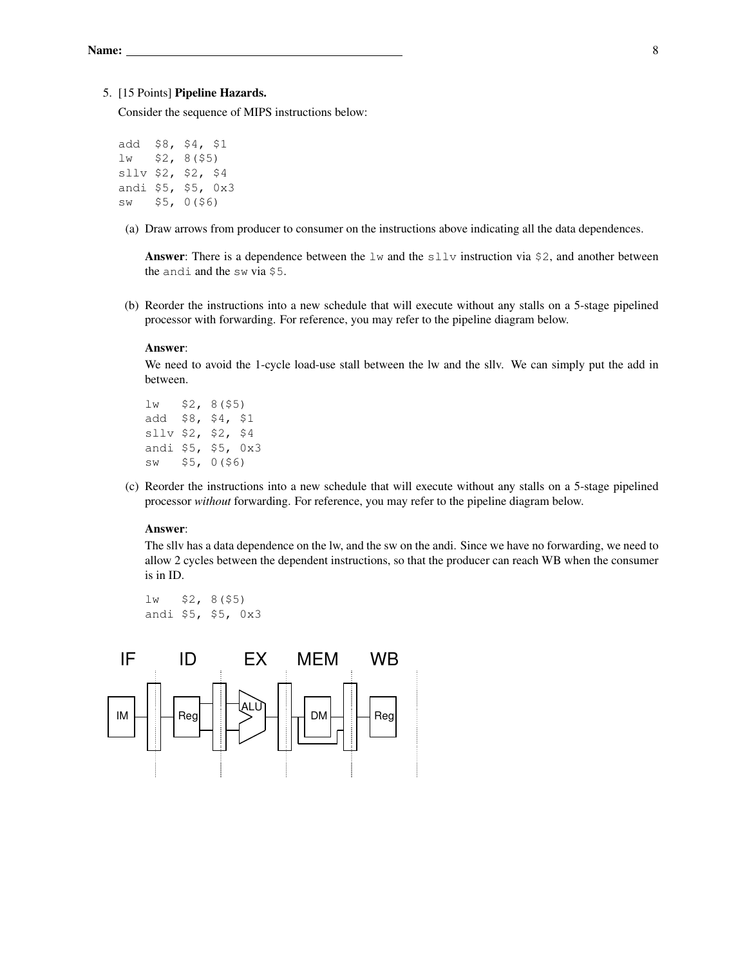### 5. [15 Points] Pipeline Hazards.

Consider the sequence of MIPS instructions below:

```
add $8, $4, $1
lw $2, 8($5)
sllv $2, $2, $4
andi $5, $5, 0x3
sw $5, 0($6)
```
(a) Draw arrows from producer to consumer on the instructions above indicating all the data dependences.

**Answer:** There is a dependence between the  $\exists w$  and the  $\exists \exists \exists v$  instruction via \$2, and another between the andi and the sw via \$5.

(b) Reorder the instructions into a new schedule that will execute without any stalls on a 5-stage pipelined processor with forwarding. For reference, you may refer to the pipeline diagram below.

# Answer:

We need to avoid the 1-cycle load-use stall between the lw and the sllv. We can simply put the add in between.

```
lw $2, 8($5)
add $8, $4, $1
sllv $2, $2, $4
andi $5, $5, 0x3
sw $5, 0($6)
```
(c) Reorder the instructions into a new schedule that will execute without any stalls on a 5-stage pipelined processor *without* forwarding. For reference, you may refer to the pipeline diagram below.

## Answer:

The sllv has a data dependence on the lw, and the sw on the andi. Since we have no forwarding, we need to allow 2 cycles between the dependent instructions, so that the producer can reach WB when the consumer is in ID.

lw \$2, 8(\$5) andi \$5, \$5, 0x3

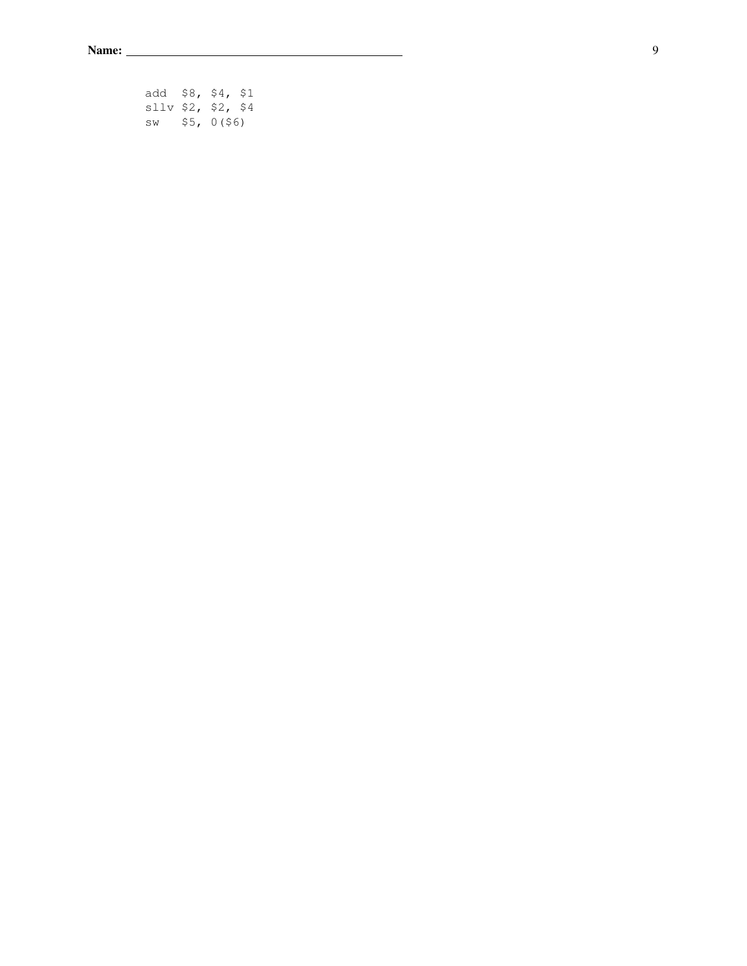| add $$8, $4, $1$     |  |  |
|----------------------|--|--|
| $s11v$ \$2, \$2, \$4 |  |  |
| $sw$ \$5, 0(\$6)     |  |  |